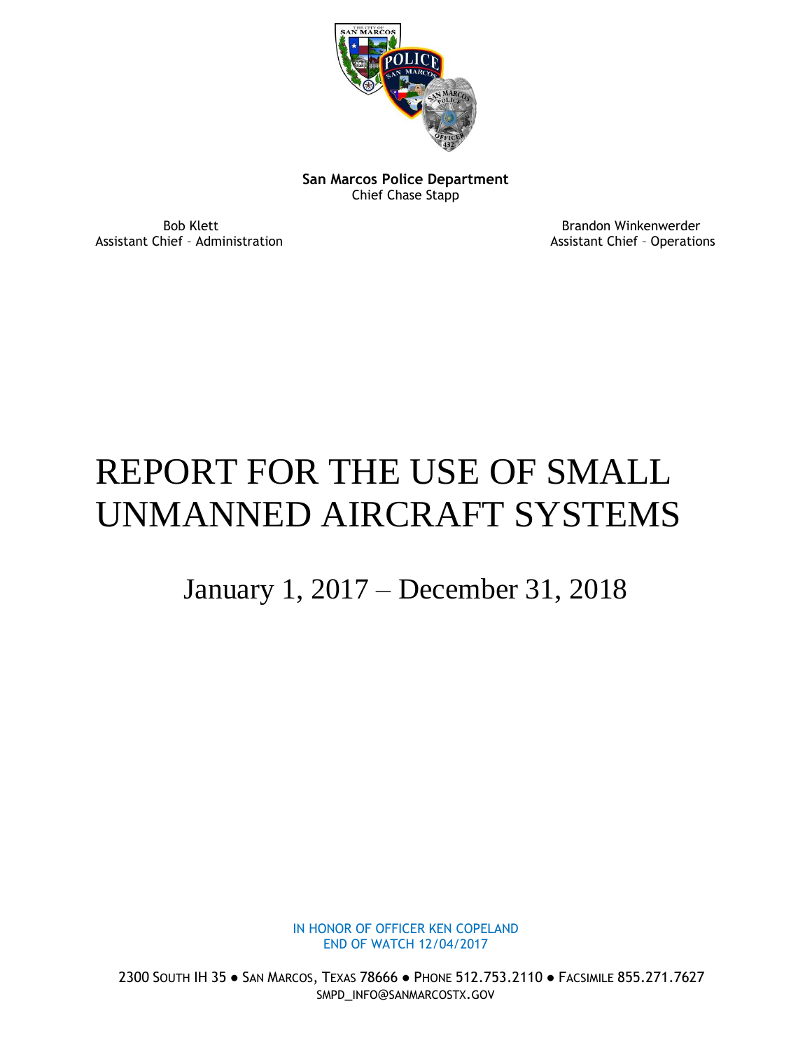

**San Marcos Police Department** Chief Chase Stapp

Assistant Chief - Administration and Assistant Chief - Operations

Bob Klett **Brandon Winkenwerder** Brandon Winkenwerder

## REPORT FOR THE USE OF SMALL UNMANNED AIRCRAFT SYSTEMS

## January 1, 2017 – December 31, 2018

IN HONOR OF OFFICER KEN COPELAND END OF WATCH 12/04/2017

2300 SOUTH IH 35 ● SAN MARCOS, TEXAS 78666 ● PHONE 512.753.2110 ● FACSIMILE 855.271.7627 SMPD\_INFO@SANMARCOSTX.GOV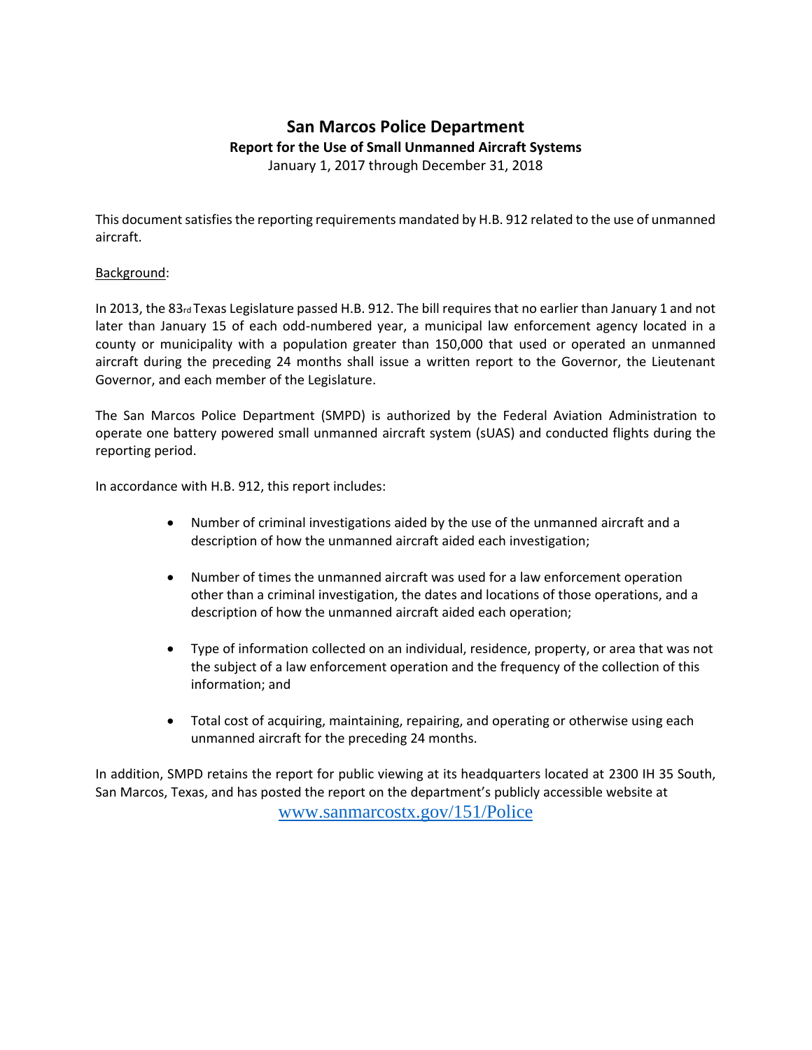## **San Marcos Police Department Report for the Use of Small Unmanned Aircraft Systems** January 1, 2017 through December 31, 2018

This document satisfies the reporting requirements mandated by H.B. 912 related to the use of unmanned aircraft.

## Background:

In 2013, the 83rd Texas Legislature passed H.B. 912. The bill requires that no earlier than January 1 and not later than January 15 of each odd-numbered year, a municipal law enforcement agency located in a county or municipality with a population greater than 150,000 that used or operated an unmanned aircraft during the preceding 24 months shall issue a written report to the Governor, the Lieutenant Governor, and each member of the Legislature.

The San Marcos Police Department (SMPD) is authorized by the Federal Aviation Administration to operate one battery powered small unmanned aircraft system (sUAS) and conducted flights during the reporting period.

In accordance with H.B. 912, this report includes:

- Number of criminal investigations aided by the use of the unmanned aircraft and a description of how the unmanned aircraft aided each investigation;
- Number of times the unmanned aircraft was used for a law enforcement operation other than a criminal investigation, the dates and locations of those operations, and a description of how the unmanned aircraft aided each operation;
- Type of information collected on an individual, residence, property, or area that was not the subject of a law enforcement operation and the frequency of the collection of this information; and
- Total cost of acquiring, maintaining, repairing, and operating or otherwise using each unmanned aircraft for the preceding 24 months.

In addition, SMPD retains the report for public viewing at its headquarters located at 2300 IH 35 South, San Marcos, Texas, and has posted the report on the department's publicly accessible website at

[www.sanmarcostx.gov/151/Police](http://www.sanmarcostx.gov/151/Police)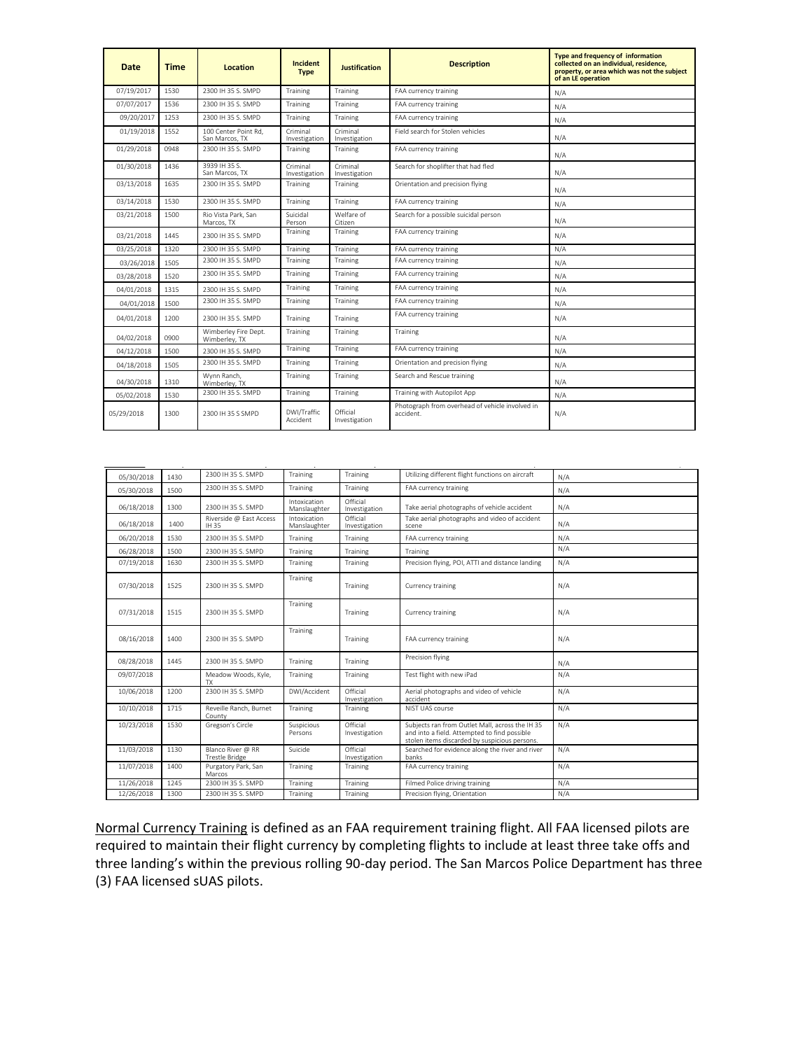| Date       | <b>Time</b> | Location                               | Incident<br><b>Type</b>   | <b>Justification</b>      | <b>Description</b>                                           | Type and frequency of information<br>collected on an individual, residence.<br>property, or area which was not the subject<br>of an LE operation |
|------------|-------------|----------------------------------------|---------------------------|---------------------------|--------------------------------------------------------------|--------------------------------------------------------------------------------------------------------------------------------------------------|
| 07/19/2017 | 1530        | 2300 IH 35 S, SMPD                     | Training                  | Training                  | FAA currency training                                        | N/A                                                                                                                                              |
| 07/07/2017 | 1536        | 2300 IH 35 S. SMPD                     | Training                  | Training                  | FAA currency training                                        | N/A                                                                                                                                              |
| 09/20/2017 | 1253        | 2300 IH 35 S. SMPD                     | Training                  | Training                  | FAA currency training                                        | N/A                                                                                                                                              |
| 01/19/2018 | 1552        | 100 Center Point Rd.<br>San Marcos, TX | Criminal<br>Investigation | Criminal<br>Investigation | Field search for Stolen vehicles                             | N/A                                                                                                                                              |
| 01/29/2018 | 0948        | 2300 IH 35 S. SMPD                     | Training                  | Training                  | FAA currency training                                        | N/A                                                                                                                                              |
| 01/30/2018 | 1436        | 3939 IH 35 S.<br>San Marcos, TX        | Criminal<br>Investigation | Criminal<br>Investigation | Search for shoplifter that had fled                          | N/A                                                                                                                                              |
| 03/13/2018 | 1635        | 2300 IH 35 S. SMPD                     | Training                  | Training                  | Orientation and precision flying                             | N/A                                                                                                                                              |
| 03/14/2018 | 1530        | 2300 IH 35 S. SMPD                     | Training                  | Training                  | FAA currency training                                        | N/A                                                                                                                                              |
| 03/21/2018 | 1500        | Rio Vista Park, San<br>Marcos, TX      | Suicidal<br>Person        | Welfare of<br>Citizen     | Search for a possible suicidal person                        | N/A                                                                                                                                              |
| 03/21/2018 | 1445        | 2300 IH 35 S. SMPD                     | Training                  | Training                  | FAA currency training                                        | N/A                                                                                                                                              |
| 03/25/2018 | 1320        | 2300 IH 35 S. SMPD                     | Training                  | Training                  | FAA currency training                                        | N/A                                                                                                                                              |
| 03/26/2018 | 1505        | 2300 IH 35 S. SMPD                     | Training                  | Training                  | FAA currency training                                        | N/A                                                                                                                                              |
| 03/28/2018 | 1520        | 2300 IH 35 S. SMPD                     | Training                  | Training                  | FAA currency training                                        | N/A                                                                                                                                              |
| 04/01/2018 | 1315        | 2300 IH 35 S. SMPD                     | Training                  | Training                  | FAA currency training                                        | N/A                                                                                                                                              |
| 04/01/2018 | 1500        | 2300 IH 35 S. SMPD                     | Training                  | Training                  | FAA currency training                                        | N/A                                                                                                                                              |
| 04/01/2018 | 1200        | 2300 IH 35 S. SMPD                     | Training                  | Training                  | FAA currency training                                        | N/A                                                                                                                                              |
| 04/02/2018 | 0900        | Wimberley Fire Dept.<br>Wimberley, TX  | Training                  | Training                  | Training                                                     | N/A                                                                                                                                              |
| 04/12/2018 | 1500        | 2300 IH 35 S. SMPD                     | Training                  | Training                  | FAA currency training                                        | N/A                                                                                                                                              |
| 04/18/2018 | 1505        | 2300 IH 35 S. SMPD                     | Training                  | Training                  | Orientation and precision flying                             | N/A                                                                                                                                              |
| 04/30/2018 | 1310        | Wynn Ranch.<br>Wimberley, TX           | Training                  | Training                  | Search and Rescue training                                   | N/A                                                                                                                                              |
| 05/02/2018 | 1530        | 2300 IH 35 S. SMPD                     | Training                  | Training                  | Training with Autopilot App                                  | N/A                                                                                                                                              |
| 05/29/2018 | 1300        | 2300 IH 35 S SMPD                      | DWI/Traffic<br>Accident   | Official<br>Investigation | Photograph from overhead of vehicle involved in<br>accident. | N/A                                                                                                                                              |

| 05/30/2018 | 1430 | 2300 IH 35 S. SMPD                         | Training                     | Training                  | Utilizing different flight functions on aircraft                                                                                                 | N/A |
|------------|------|--------------------------------------------|------------------------------|---------------------------|--------------------------------------------------------------------------------------------------------------------------------------------------|-----|
| 05/30/2018 | 1500 | 2300 IH 35 S. SMPD                         | Training                     | Training                  | FAA currency training                                                                                                                            | N/A |
| 06/18/2018 | 1300 | 2300 IH 35 S. SMPD                         | Intoxication<br>Manslaughter | Official<br>Investigation | Take aerial photographs of vehicle accident                                                                                                      | N/A |
| 06/18/2018 | 1400 | Riverside @ East Access<br>IH 35           | Intoxication<br>Manslaughter | Official<br>Investigation | Take aerial photographs and video of accident<br>scene                                                                                           | N/A |
| 06/20/2018 | 1530 | 2300 IH 35 S. SMPD                         | Training                     | Training                  | FAA currency training                                                                                                                            | N/A |
| 06/28/2018 | 1500 | 2300 IH 35 S. SMPD                         | Training                     | Training                  | Training                                                                                                                                         | N/A |
| 07/19/2018 | 1630 | 2300 IH 35 S. SMPD                         | Training                     | Training                  | Precision flying, POI, ATTI and distance landing                                                                                                 | N/A |
| 07/30/2018 | 1525 | 2300 IH 35 S. SMPD                         | Training                     | Training                  | Currency training                                                                                                                                | N/A |
| 07/31/2018 | 1515 | 2300 IH 35 S. SMPD                         | Training                     | Training                  | Currency training                                                                                                                                | N/A |
| 08/16/2018 | 1400 | 2300 IH 35 S. SMPD                         | Training                     | Training                  | FAA currency training                                                                                                                            | N/A |
| 08/28/2018 | 1445 | 2300 IH 35 S. SMPD                         | Training                     | Training                  | Precision flying                                                                                                                                 | N/A |
| 09/07/2018 |      | Meadow Woods, Kyle,<br><b>TX</b>           | Training                     | Training                  | Test flight with new iPad                                                                                                                        | N/A |
| 10/06/2018 | 1200 | 2300 IH 35 S. SMPD                         | DWI/Accident                 | Official<br>Investigation | Aerial photographs and video of vehicle<br>accident                                                                                              | N/A |
| 10/10/2018 | 1715 | Reveille Ranch, Burnet<br>County           | Training                     | Training                  | NIST UAS course                                                                                                                                  | N/A |
| 10/23/2018 | 1530 | Gregson's Circle                           | Suspicious<br>Persons        | Official<br>Investigation | Subjects ran from Outlet Mall, across the IH 35<br>and into a field. Attempted to find possible<br>stolen items discarded by suspicious persons. | N/A |
| 11/03/2018 | 1130 | Blanco River @ RR<br><b>Trestle Bridge</b> | Suicide                      | Official<br>Investigation | Searched for evidence along the river and river<br>banks                                                                                         | N/A |
| 11/07/2018 | 1400 | Purgatory Park, San<br>Marcos              | Training                     | Training                  | FAA currency training                                                                                                                            | N/A |
| 11/26/2018 | 1245 | 2300 IH 35 S. SMPD                         | Training                     | Training                  | Filmed Police driving training                                                                                                                   | N/A |
| 12/26/2018 | 1300 | 2300 IH 35 S. SMPD                         | Training                     | Training                  | Precision flying, Orientation                                                                                                                    | N/A |
|            |      |                                            |                              |                           |                                                                                                                                                  |     |

Normal Currency Training is defined as an FAA requirement training flight. All FAA licensed pilots are required to maintain their flight currency by completing flights to include at least three take offs and three landing's within the previous rolling 90-day period. The San Marcos Police Department has three (3) FAA licensed sUAS pilots.